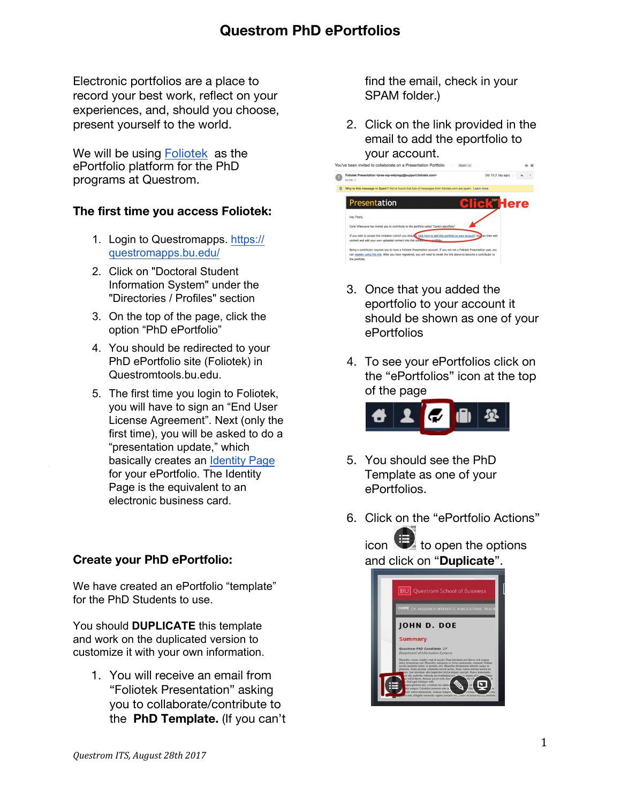Electronic portfolios are a place to record your best work, reflect on your experiences, and, should you choose, present yourself to the world.

We will be using [Foliotek](https://www.foliotek.com/professional-portfolio) as the ePortfolio platform for the PhD programs at Questrom.

### **The first time you access Foliotek:**

- 1. Login to Questromapps. [https://](https://questromapps.bu.edu/) [questromapps.bu.edu/](https://questromapps.bu.edu/)
- 2. Click on "Doctoral Student Information System" under the "Directories / Profiles" section
- 3. On the top of the page, click the option "PhD ePortfolio"
- 4. You should be redirected to your PhD ePortfolio site (Foliotek) in Questromtools.bu.edu.
- 5. The first time you login to Foliotek, you will have to sign an "End User License Agreement". Next (only the first time), you will be asked to do a "pr[esentation upda](https://youtu.be/n7YlAPrRqMA?list=PLkMeOuHDCYWrQoP9BjO4VGijd93m66XrS)te," which basically creates an Identity Page for your ePortfolio. The Identity Page is the equivalent to an electronic business card.

### **Create your PhD ePortfolio:**

We have created an ePortfolio "template" for the PhD Students to use.

You should **DUPLICATE** this template and work on the duplicated version to customize it with your own information.

1. You will receive an email from "Foliotek Presentation" asking you to collaborate/contribute to the **PhD Template.** (If you can't find the email, check in your SPAM folder.)

2. Click on the link provided in the email to add the eportfolio to your account.

| You've been invited to collaborate on a Presentation Portfolio<br>Spam x                                                                                                                                                                                                    |                    |
|-----------------------------------------------------------------------------------------------------------------------------------------------------------------------------------------------------------------------------------------------------------------------------|--------------------|
| Foliotek Presentation <pres-rep-w4pregg@support.foliotek.com><br/>to me <math>-</math></pres-rep-w4pregg@support.foliotek.com>                                                                                                                                              | Oct 13 (1 day ago) |
| Why is this message in Spam? We've found that lots of messages from foliotek.com are spam. Learn more                                                                                                                                                                       |                    |
| Presentation                                                                                                                                                                                                                                                                | Here               |
| Hey There,<br>Carla Villanueva has invited you to contribute to the portfolio called "Carla's eportfolio"                                                                                                                                                                   |                    |
| If you wish to accept this invitation (which you should), dick here to add this portfolio to your account! You can then edit<br>content and add your own uploaded content into this collaboration portfolio.                                                                |                    |
| Being a contributor requires you to have a Foliotek Presentation account. If you are not a Foliotek Presentation user, you<br>can register using this link. After you have registered, you will need to revisit the link above to become a contributor to<br>the portfolio. |                    |

- 3. Once that you added the eportfolio to your account it should be shown as one of your ePortfolios
- 4. To see your ePortfolios click on the "ePortfolios" icon at the top of the page



- 5. You should see the PhD Template as one of your ePortfolios.
- 6. Click on the "ePortfolio Actions"

icon  $\bullet$  to open the options and click on "**Duplicate**".